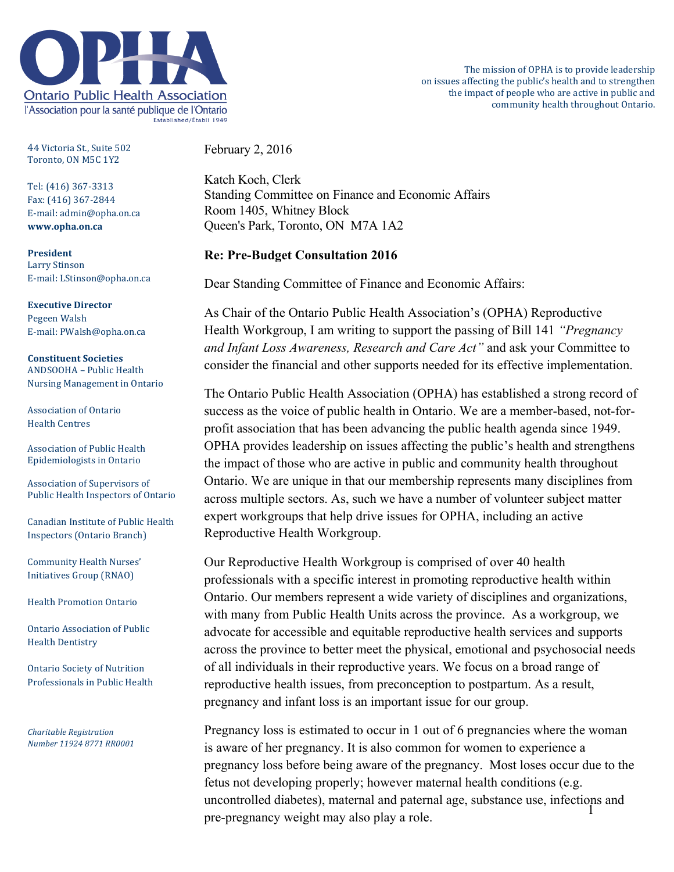

44 Victoria St., Suite 502 Toronto, ON M5C 1Y2

Tel: (416) 367-3313 Fax: (416) 367-2844 E-mail: admin@opha.on.ca **www.opha.on.ca**

**President** Larry Stinson E-mail: LStinson@opha.on.ca

**Executive Director** Pegeen Walsh E-mail: PWalsh@opha.on.ca

**Constituent Societies** ANDSOOHA - Public Health Nursing Management in Ontario

Association of Ontario Health Centres

Association of Public Health Epidemiologists in Ontario

Association of Supervisors of Public Health Inspectors of Ontario

Canadian Institute of Public Health Inspectors (Ontario Branch)

Community Health Nurses' Initiatives Group (RNAO)

Health Promotion Ontario

Ontario Association of Public Health Dentistry

Ontario Society of Nutrition Professionals in Public Health

*Charitable Registration Number 11924 8771 RR0001* February 2, 2016

Katch Koch, Clerk Standing Committee on Finance and Economic Affairs Room 1405, Whitney Block Queen's Park, Toronto, ON M7A 1A2

## **Re: Pre-Budget Consultation 2016**

Dear Standing Committee of Finance and Economic Affairs:

As Chair of the Ontario Public Health Association's (OPHA) Reproductive Health Workgroup, I am writing to support the passing of Bill 141 *"Pregnancy and Infant Loss Awareness, Research and Care Act"* and ask your Committee to consider the financial and other supports needed for its effective implementation.

The Ontario Public Health Association (OPHA) has established a strong record of success as the voice of public health in Ontario. We are a member-based, not-forprofit association that has been advancing the public health agenda since 1949. OPHA provides leadership on issues affecting the public's health and strengthens the impact of those who are active in public and community health throughout Ontario. We are unique in that our membership represents many disciplines from across multiple sectors. As, such we have a number of volunteer subject matter expert workgroups that help drive issues for OPHA, including an active Reproductive Health Workgroup.

Our Reproductive Health Workgroup is comprised of over 40 health professionals with a specific interest in promoting reproductive health within Ontario. Our members represent a wide variety of disciplines and organizations, with many from Public Health Units across the province. As a workgroup, we advocate for accessible and equitable reproductive health services and supports across the province to better meet the physical, emotional and psychosocial needs of all individuals in their reproductive years. We focus on a broad range of reproductive health issues, from preconception to postpartum. As a result, pregnancy and infant loss is an important issue for our group.

 $\hat{1}$ Pregnancy loss is estimated to occur in 1 out of 6 pregnancies where the woman is aware of her pregnancy. It is also common for women to experience a pregnancy loss before being aware of the pregnancy. Most loses occur due to the fetus not developing properly; however maternal health conditions (e.g. uncontrolled diabetes), maternal and paternal age, substance use, infections and pre-pregnancy weight may also play a role.